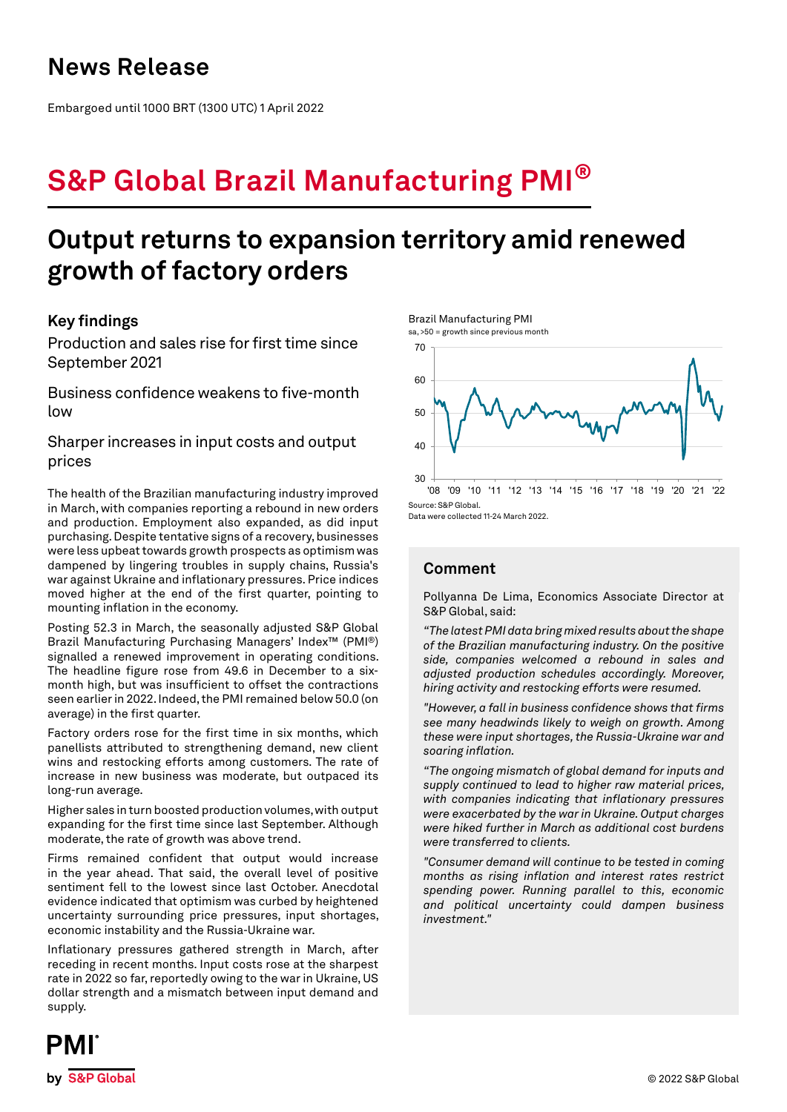## **News Release**

Embargoed until 1000 BRT (1300 UTC) 1 April 2022

# **S&P Global Brazil Manufacturing PMI®**

## **Output returns to expansion territory amid renewed growth of factory orders**

### **Key findings**

Production and sales rise for first time since September 2021

Business confidence weakens to five-month low

Sharper increases in input costs and output prices

The health of the Brazilian manufacturing industry improved in March, with companies reporting a rebound in new orders and production. Employment also expanded, as did input purchasing. Despite tentative signs of a recovery, businesses were less upbeat towards growth prospects as optimism was dampened by lingering troubles in supply chains, Russia's war against Ukraine and inflationary pressures. Price indices moved higher at the end of the first quarter, pointing to mounting inflation in the economy.

Posting 52.3 in March, the seasonally adjusted S&P Global Brazil Manufacturing Purchasing Managers' Index™ (PMI®) signalled a renewed improvement in operating conditions. The headline figure rose from 49.6 in December to a sixmonth high, but was insufficient to offset the contractions seen earlier in 2022. Indeed, the PMI remained below 50.0 (on average) in the first quarter.

Factory orders rose for the first time in six months, which panellists attributed to strengthening demand, new client wins and restocking efforts among customers. The rate of increase in new business was moderate, but outpaced its long-run average.

Higher sales in turn boosted production volumes, with output expanding for the first time since last September. Although moderate, the rate of growth was above trend.

Firms remained confident that output would increase in the year ahead. That said, the overall level of positive sentiment fell to the lowest since last October. Anecdotal evidence indicated that optimism was curbed by heightened uncertainty surrounding price pressures, input shortages, economic instability and the Russia-Ukraine war.

Inflationary pressures gathered strength in March, after receding in recent months. Input costs rose at the sharpest rate in 2022 so far, reportedly owing to the war in Ukraine, US dollar strength and a mismatch between input demand and supply.

Brazil Manufacturing PMI sa, >50 = growth since previous month



Data were collected 11-24 March 2022.

## **Comment**

Pollyanna De Lima, Economics Associate Director at S&P Global, said:

*"The latest PMI data bring mixed results about the shape of the Brazilian manufacturing industry. On the positive side, companies welcomed a rebound in sales and adjusted production schedules accordingly. Moreover, hiring activity and restocking efforts were resumed.*

*"However, a fall in business confidence shows that firms see many headwinds likely to weigh on growth. Among these were input shortages, the Russia-Ukraine war and soaring inflation.*

*"The ongoing mismatch of global demand for inputs and supply continued to lead to higher raw material prices, with companies indicating that inflationary pressures were exacerbated by the war in Ukraine. Output charges were hiked further in March as additional cost burdens were transferred to clients.*

*"Consumer demand will continue to be tested in coming months as rising inflation and interest rates restrict spending power. Running parallel to this, economic and political uncertainty could dampen business investment."*